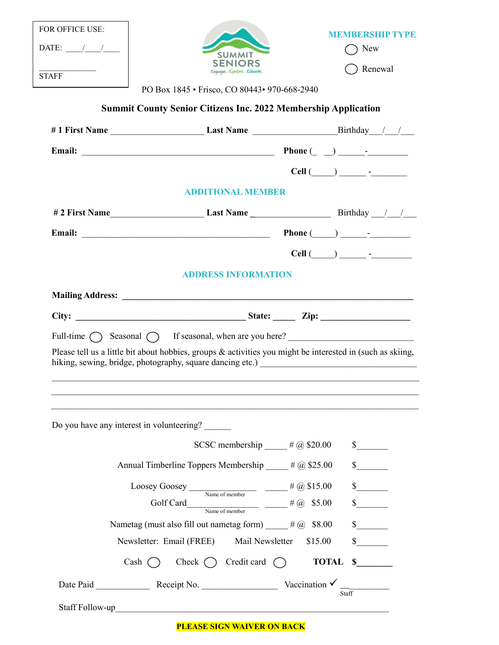| DATE: $\frac{1}{\sqrt{2\pi}}$<br><b>STAFF</b> | <b>SUMMIT</b><br><b>SENIORS</b><br>Eugage. Explore. Elevate.                                                                                                                         |                                      | ) New<br>Renewal                                                                                                                                                                                                                                                                                                                                  |
|-----------------------------------------------|--------------------------------------------------------------------------------------------------------------------------------------------------------------------------------------|--------------------------------------|---------------------------------------------------------------------------------------------------------------------------------------------------------------------------------------------------------------------------------------------------------------------------------------------------------------------------------------------------|
|                                               | PO Box 1845 • Frisco, CO 80443 • 970-668-2940                                                                                                                                        |                                      |                                                                                                                                                                                                                                                                                                                                                   |
|                                               | <b>Summit County Senior Citizens Inc. 2022 Membership Application</b>                                                                                                                |                                      |                                                                                                                                                                                                                                                                                                                                                   |
|                                               |                                                                                                                                                                                      |                                      |                                                                                                                                                                                                                                                                                                                                                   |
|                                               |                                                                                                                                                                                      |                                      |                                                                                                                                                                                                                                                                                                                                                   |
|                                               |                                                                                                                                                                                      |                                      |                                                                                                                                                                                                                                                                                                                                                   |
|                                               | <b>ADDITIONAL MEMBER</b>                                                                                                                                                             |                                      |                                                                                                                                                                                                                                                                                                                                                   |
|                                               |                                                                                                                                                                                      |                                      |                                                                                                                                                                                                                                                                                                                                                   |
|                                               |                                                                                                                                                                                      |                                      |                                                                                                                                                                                                                                                                                                                                                   |
|                                               |                                                                                                                                                                                      |                                      | $Cell$ $\qquad \qquad$ $\qquad$ $\qquad$ $\qquad$ $\qquad$ $\qquad$ $\qquad$ $\qquad$ $\qquad$ $\qquad$ $\qquad$ $\qquad$ $\qquad$ $\qquad$ $\qquad$ $\qquad$ $\qquad$ $\qquad$ $\qquad$ $\qquad$ $\qquad$ $\qquad$ $\qquad$ $\qquad$ $\qquad$ $\qquad$ $\qquad$ $\qquad$ $\qquad$ $\qquad$ $\qquad$ $\qquad$ $\qquad$ $\qquad$ $\qquad$ $\qquad$ |
|                                               | <b>ADDRESS INFORMATION</b>                                                                                                                                                           |                                      |                                                                                                                                                                                                                                                                                                                                                   |
|                                               |                                                                                                                                                                                      |                                      |                                                                                                                                                                                                                                                                                                                                                   |
|                                               | Full-time $\bigcap$ Seasonal $\bigcap$ If seasonal, when are you here?<br>Please tell us a little bit about hobbies, groups & activities you might be interested in (such as skiing, |                                      |                                                                                                                                                                                                                                                                                                                                                   |
|                                               | Do you have any interest in volunteering?                                                                                                                                            | SCSC membership $\qquad$ # @ \$20.00 | $\frac{\text{S}}{\text{S}}$                                                                                                                                                                                                                                                                                                                       |
|                                               | Annual Timberline Toppers Membership ____ # @ \$25.00                                                                                                                                |                                      | s                                                                                                                                                                                                                                                                                                                                                 |
|                                               |                                                                                                                                                                                      |                                      | $\frac{\sqrt{2}}{2}$                                                                                                                                                                                                                                                                                                                              |
|                                               | Loosey Goosey $\frac{1}{\text{Name of member}}$ $\frac{\text{# }@$15.00}{\text{# }@$15.00}$                                                                                          |                                      | s                                                                                                                                                                                                                                                                                                                                                 |
|                                               | Golf Card<br>Name of member $\qquad \qquad \frac{\# \textcircled{a} \quad $5.00}$<br>Nametag (must also fill out nametag form) $\qquad$ # @ \$8.00                                   |                                      |                                                                                                                                                                                                                                                                                                                                                   |
|                                               | Newsletter: Email (FREE)                                                                                                                                                             | Mail Newsletter                      | $\sim$<br>\$15.00                                                                                                                                                                                                                                                                                                                                 |
|                                               | Cash $\bigcap$ Check $\bigcap$ Credit card $\bigcap$                                                                                                                                 |                                      | TOTAL \$                                                                                                                                                                                                                                                                                                                                          |

**PLEASE SIGN WAIVER ON BACK**